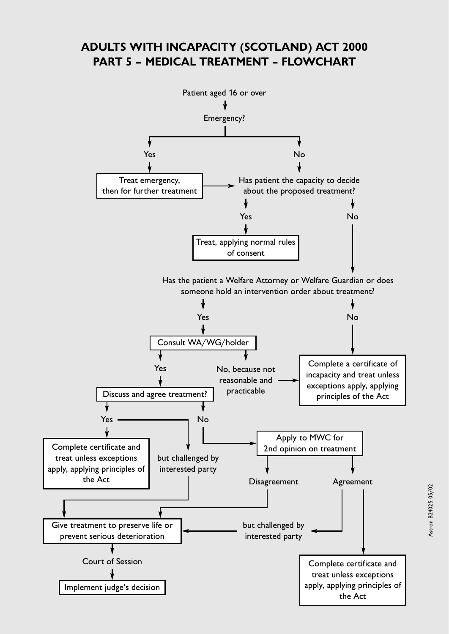## **ADULTS WITH INCAPACITY (SCOTLAND) ACT 2000 PART 5 – MEDICAL TREATMENT – FLOWCHART**